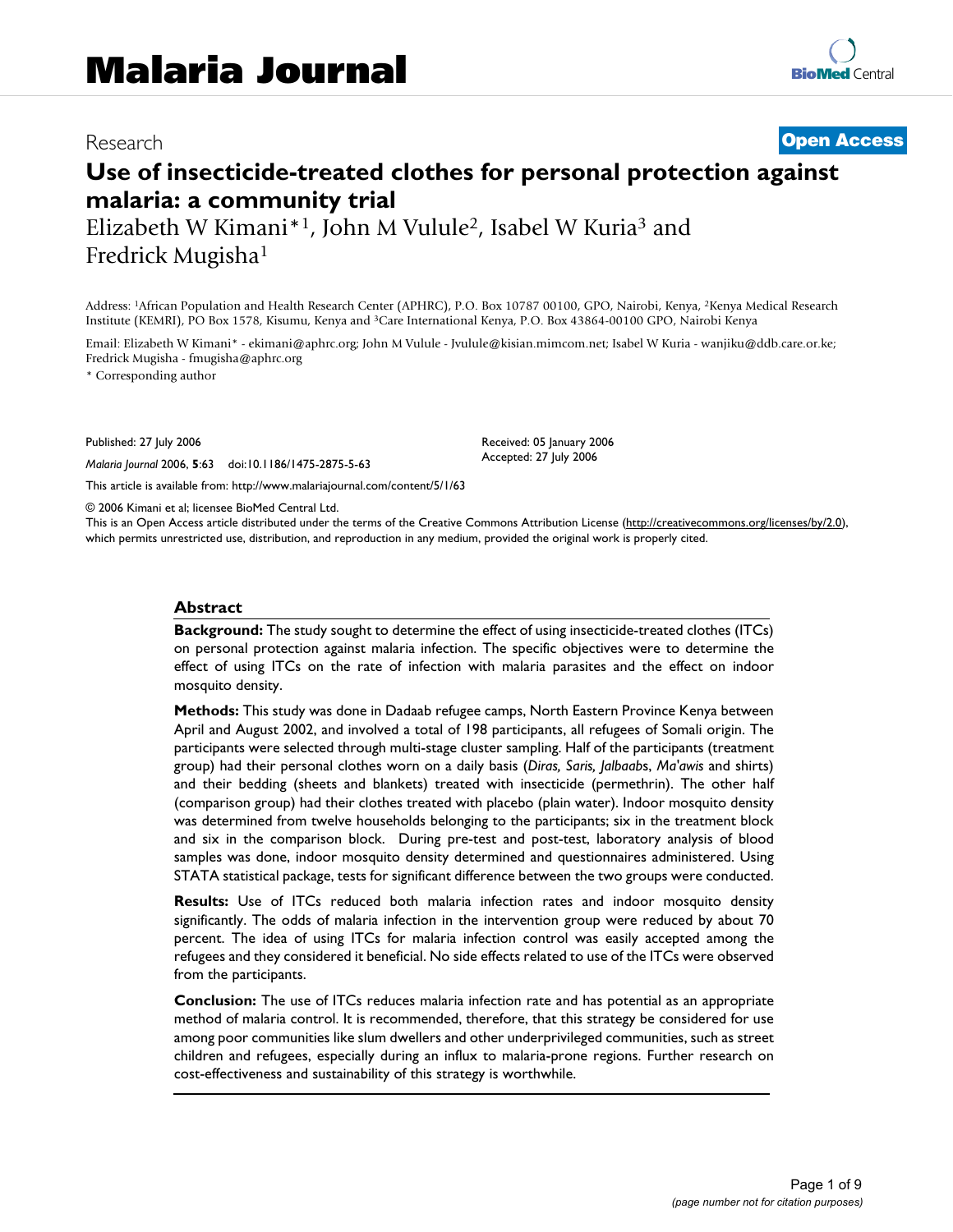## Research **[Open Access](http://www.biomedcentral.com/info/about/charter/)**

# **Use of insecticide-treated clothes for personal protection against malaria: a community trial**

Elizabeth W Kimani\*1, John M Vulule2, Isabel W Kuria3 and Fredrick Mugisha1

Address: 1African Population and Health Research Center (APHRC), P.O. Box 10787 00100, GPO, Nairobi, Kenya, 2Kenya Medical Research Institute (KEMRI), PO Box 1578, Kisumu, Kenya and 3Care International Kenya, P.O. Box 43864-00100 GPO, Nairobi Kenya

Email: Elizabeth W Kimani\* - ekimani@aphrc.org; John M Vulule - Jvulule@kisian.mimcom.net; Isabel W Kuria - wanjiku@ddb.care.or.ke; Fredrick Mugisha - fmugisha@aphrc.org

\* Corresponding author

Published: 27 July 2006

*Malaria Journal* 2006, **5**:63 doi:10.1186/1475-2875-5-63

[This article is available from: http://www.malariajournal.com/content/5/1/63](http://www.malariajournal.com/content/5/1/63)

© 2006 Kimani et al; licensee BioMed Central Ltd.

This is an Open Access article distributed under the terms of the Creative Commons Attribution License [\(http://creativecommons.org/licenses/by/2.0\)](http://creativecommons.org/licenses/by/2.0), which permits unrestricted use, distribution, and reproduction in any medium, provided the original work is properly cited.

Received: 05 January 2006 Accepted: 27 July 2006

#### **Abstract**

**Background:** The study sought to determine the effect of using insecticide-treated clothes (ITCs) on personal protection against malaria infection. The specific objectives were to determine the effect of using ITCs on the rate of infection with malaria parasites and the effect on indoor mosquito density.

**Methods:** This study was done in Dadaab refugee camps, North Eastern Province Kenya between April and August 2002, and involved a total of 198 participants, all refugees of Somali origin. The participants were selected through multi-stage cluster sampling. Half of the participants (treatment group) had their personal clothes worn on a daily basis (*Diras, Saris, Jalbaab*s, *Ma'awis* and shirts) and their bedding (sheets and blankets) treated with insecticide (permethrin). The other half (comparison group) had their clothes treated with placebo (plain water). Indoor mosquito density was determined from twelve households belonging to the participants; six in the treatment block and six in the comparison block. During pre-test and post-test, laboratory analysis of blood samples was done, indoor mosquito density determined and questionnaires administered. Using STATA statistical package, tests for significant difference between the two groups were conducted.

**Results:** Use of ITCs reduced both malaria infection rates and indoor mosquito density significantly. The odds of malaria infection in the intervention group were reduced by about 70 percent. The idea of using ITCs for malaria infection control was easily accepted among the refugees and they considered it beneficial. No side effects related to use of the ITCs were observed from the participants.

**Conclusion:** The use of ITCs reduces malaria infection rate and has potential as an appropriate method of malaria control. It is recommended, therefore, that this strategy be considered for use among poor communities like slum dwellers and other underprivileged communities, such as street children and refugees, especially during an influx to malaria-prone regions. Further research on cost-effectiveness and sustainability of this strategy is worthwhile.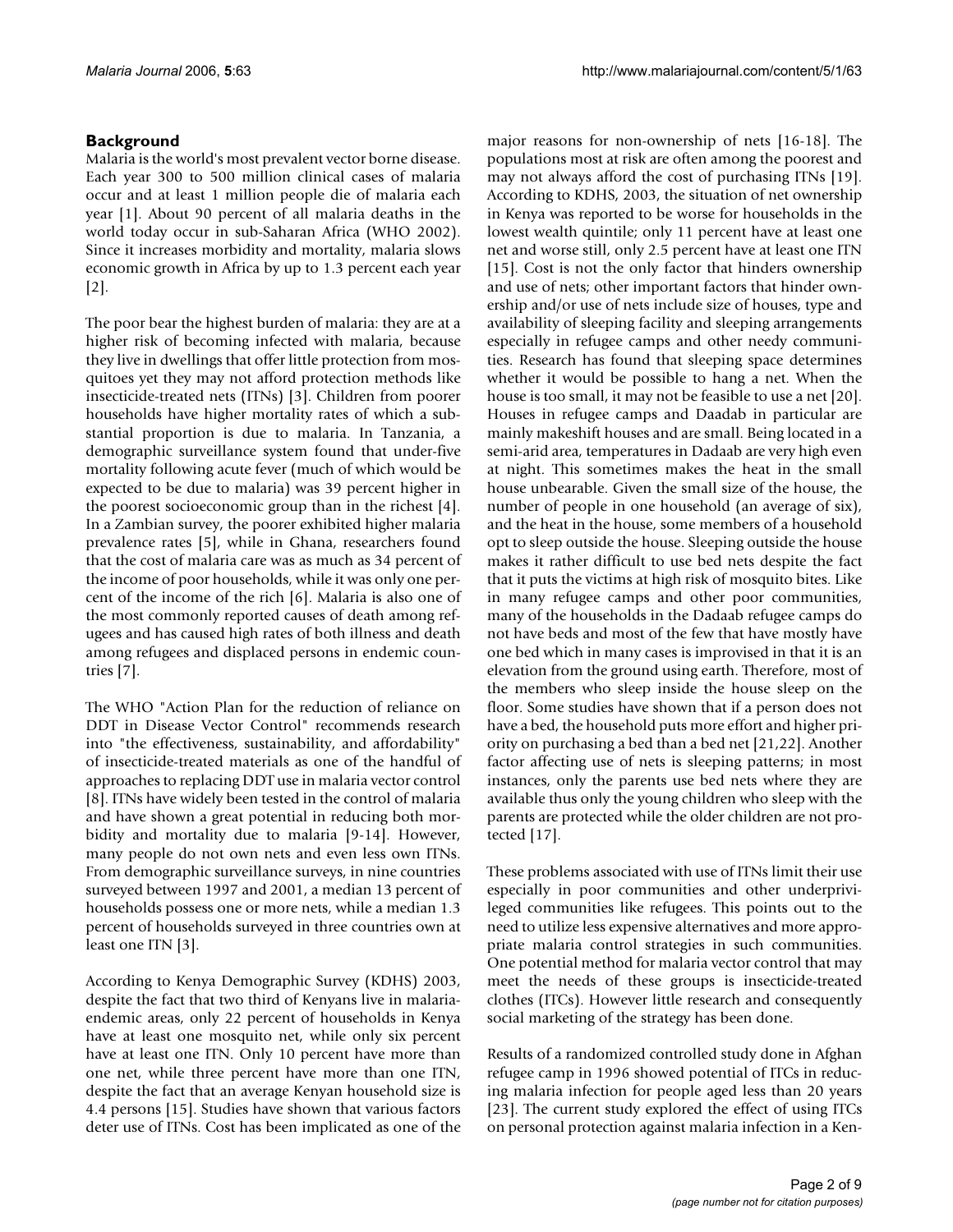## **Background**

Malaria is the world's most prevalent vector borne disease. Each year 300 to 500 million clinical cases of malaria occur and at least 1 million people die of malaria each year [1]. About 90 percent of all malaria deaths in the world today occur in sub-Saharan Africa (WHO 2002). Since it increases morbidity and mortality, malaria slows economic growth in Africa by up to 1.3 percent each year [2].

The poor bear the highest burden of malaria: they are at a higher risk of becoming infected with malaria, because they live in dwellings that offer little protection from mosquitoes yet they may not afford protection methods like insecticide-treated nets (ITNs) [3]. Children from poorer households have higher mortality rates of which a substantial proportion is due to malaria. In Tanzania, a demographic surveillance system found that under-five mortality following acute fever (much of which would be expected to be due to malaria) was 39 percent higher in the poorest socioeconomic group than in the richest [4]. In a Zambian survey, the poorer exhibited higher malaria prevalence rates [5], while in Ghana, researchers found that the cost of malaria care was as much as 34 percent of the income of poor households, while it was only one percent of the income of the rich [6]. Malaria is also one of the most commonly reported causes of death among refugees and has caused high rates of both illness and death among refugees and displaced persons in endemic countries [7].

The WHO "Action Plan for the reduction of reliance on DDT in Disease Vector Control" recommends research into "the effectiveness, sustainability, and affordability" of insecticide-treated materials as one of the handful of approaches to replacing DDT use in malaria vector control [8]. ITNs have widely been tested in the control of malaria and have shown a great potential in reducing both morbidity and mortality due to malaria [9-14]. However, many people do not own nets and even less own ITNs. From demographic surveillance surveys, in nine countries surveyed between 1997 and 2001, a median 13 percent of households possess one or more nets, while a median 1.3 percent of households surveyed in three countries own at least one ITN [3].

According to Kenya Demographic Survey (KDHS) 2003, despite the fact that two third of Kenyans live in malariaendemic areas, only 22 percent of households in Kenya have at least one mosquito net, while only six percent have at least one ITN. Only 10 percent have more than one net, while three percent have more than one ITN, despite the fact that an average Kenyan household size is 4.4 persons [15]. Studies have shown that various factors deter use of ITNs. Cost has been implicated as one of the major reasons for non-ownership of nets [16-18]. The populations most at risk are often among the poorest and may not always afford the cost of purchasing ITNs [19]. According to KDHS, 2003, the situation of net ownership in Kenya was reported to be worse for households in the lowest wealth quintile; only 11 percent have at least one net and worse still, only 2.5 percent have at least one ITN [15]. Cost is not the only factor that hinders ownership and use of nets; other important factors that hinder ownership and/or use of nets include size of houses, type and availability of sleeping facility and sleeping arrangements especially in refugee camps and other needy communities. Research has found that sleeping space determines whether it would be possible to hang a net. When the house is too small, it may not be feasible to use a net [20]. Houses in refugee camps and Daadab in particular are mainly makeshift houses and are small. Being located in a semi-arid area, temperatures in Dadaab are very high even at night. This sometimes makes the heat in the small house unbearable. Given the small size of the house, the number of people in one household (an average of six), and the heat in the house, some members of a household opt to sleep outside the house. Sleeping outside the house makes it rather difficult to use bed nets despite the fact that it puts the victims at high risk of mosquito bites. Like in many refugee camps and other poor communities, many of the households in the Dadaab refugee camps do not have beds and most of the few that have mostly have one bed which in many cases is improvised in that it is an elevation from the ground using earth. Therefore, most of the members who sleep inside the house sleep on the floor. Some studies have shown that if a person does not have a bed, the household puts more effort and higher priority on purchasing a bed than a bed net [21,22]. Another factor affecting use of nets is sleeping patterns; in most instances, only the parents use bed nets where they are available thus only the young children who sleep with the parents are protected while the older children are not protected [17].

These problems associated with use of ITNs limit their use especially in poor communities and other underprivileged communities like refugees. This points out to the need to utilize less expensive alternatives and more appropriate malaria control strategies in such communities. One potential method for malaria vector control that may meet the needs of these groups is insecticide-treated clothes (ITCs). However little research and consequently social marketing of the strategy has been done.

Results of a randomized controlled study done in Afghan refugee camp in 1996 showed potential of ITCs in reducing malaria infection for people aged less than 20 years [23]. The current study explored the effect of using ITCs on personal protection against malaria infection in a Ken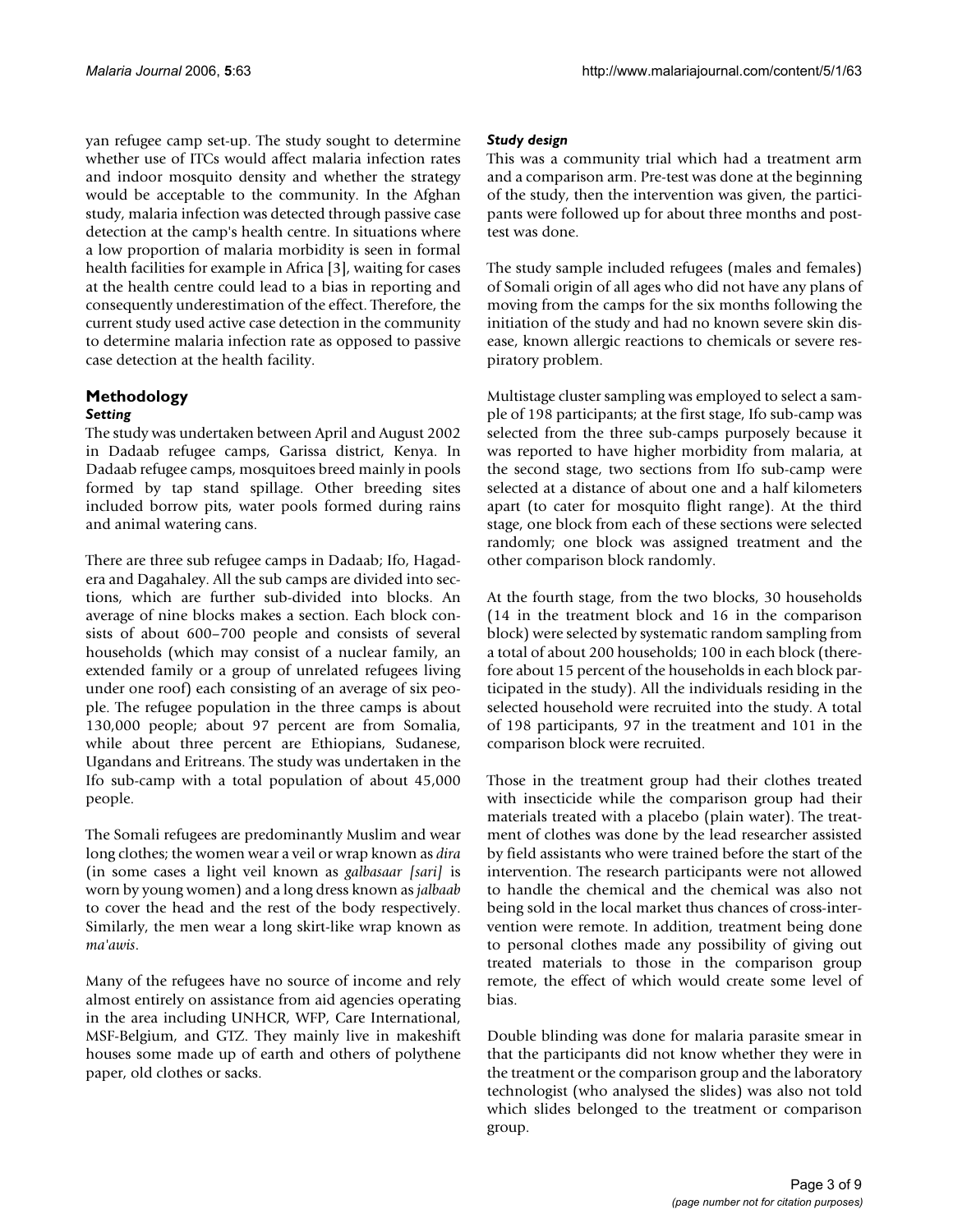yan refugee camp set-up. The study sought to determine whether use of ITCs would affect malaria infection rates and indoor mosquito density and whether the strategy would be acceptable to the community. In the Afghan study, malaria infection was detected through passive case detection at the camp's health centre. In situations where a low proportion of malaria morbidity is seen in formal health facilities for example in Africa [3], waiting for cases at the health centre could lead to a bias in reporting and consequently underestimation of the effect. Therefore, the current study used active case detection in the community to determine malaria infection rate as opposed to passive case detection at the health facility.

## **Methodology**

## *Setting*

The study was undertaken between April and August 2002 in Dadaab refugee camps, Garissa district, Kenya. In Dadaab refugee camps, mosquitoes breed mainly in pools formed by tap stand spillage. Other breeding sites included borrow pits, water pools formed during rains and animal watering cans.

There are three sub refugee camps in Dadaab; Ifo, Hagadera and Dagahaley. All the sub camps are divided into sections, which are further sub-divided into blocks. An average of nine blocks makes a section. Each block consists of about 600–700 people and consists of several households (which may consist of a nuclear family, an extended family or a group of unrelated refugees living under one roof) each consisting of an average of six people. The refugee population in the three camps is about 130,000 people; about 97 percent are from Somalia, while about three percent are Ethiopians, Sudanese, Ugandans and Eritreans. The study was undertaken in the Ifo sub-camp with a total population of about 45,000 people.

The Somali refugees are predominantly Muslim and wear long clothes; the women wear a veil or wrap known as *dira* (in some cases a light veil known as *galbasaar [sari]* is worn by young women) and a long dress known as *jalbaab* to cover the head and the rest of the body respectively. Similarly, the men wear a long skirt-like wrap known as *ma'awis*.

Many of the refugees have no source of income and rely almost entirely on assistance from aid agencies operating in the area including UNHCR, WFP, Care International, MSF-Belgium, and GTZ. They mainly live in makeshift houses some made up of earth and others of polythene paper, old clothes or sacks.

## *Study design*

This was a community trial which had a treatment arm and a comparison arm. Pre-test was done at the beginning of the study, then the intervention was given, the participants were followed up for about three months and posttest was done.

The study sample included refugees (males and females) of Somali origin of all ages who did not have any plans of moving from the camps for the six months following the initiation of the study and had no known severe skin disease, known allergic reactions to chemicals or severe respiratory problem.

Multistage cluster sampling was employed to select a sample of 198 participants; at the first stage, Ifo sub-camp was selected from the three sub-camps purposely because it was reported to have higher morbidity from malaria, at the second stage, two sections from Ifo sub-camp were selected at a distance of about one and a half kilometers apart (to cater for mosquito flight range). At the third stage, one block from each of these sections were selected randomly; one block was assigned treatment and the other comparison block randomly.

At the fourth stage, from the two blocks, 30 households (14 in the treatment block and 16 in the comparison block) were selected by systematic random sampling from a total of about 200 households; 100 in each block (therefore about 15 percent of the households in each block participated in the study). All the individuals residing in the selected household were recruited into the study. A total of 198 participants, 97 in the treatment and 101 in the comparison block were recruited.

Those in the treatment group had their clothes treated with insecticide while the comparison group had their materials treated with a placebo (plain water). The treatment of clothes was done by the lead researcher assisted by field assistants who were trained before the start of the intervention. The research participants were not allowed to handle the chemical and the chemical was also not being sold in the local market thus chances of cross-intervention were remote. In addition, treatment being done to personal clothes made any possibility of giving out treated materials to those in the comparison group remote, the effect of which would create some level of bias.

Double blinding was done for malaria parasite smear in that the participants did not know whether they were in the treatment or the comparison group and the laboratory technologist (who analysed the slides) was also not told which slides belonged to the treatment or comparison group.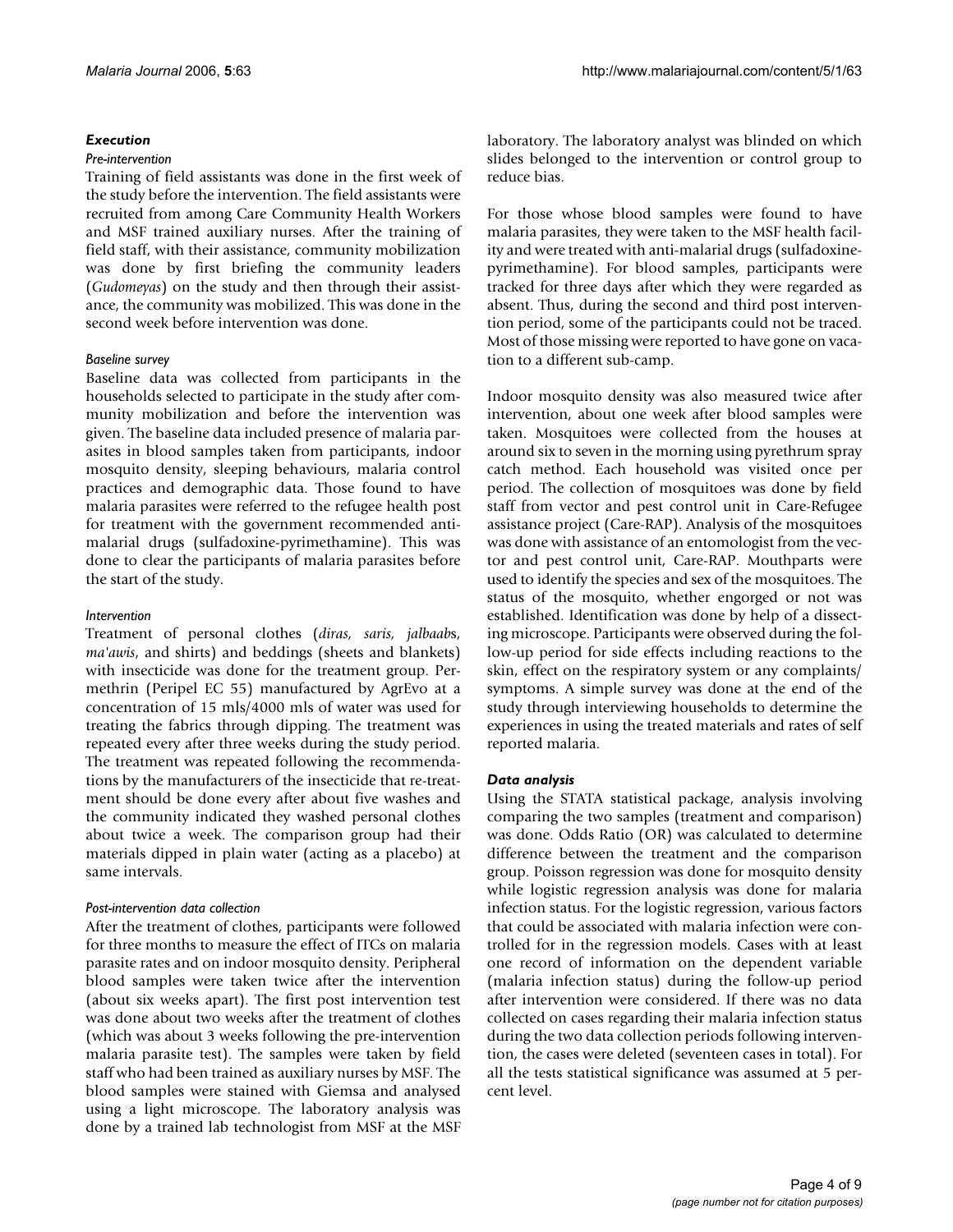## *Execution*

## *Pre-intervention*

Training of field assistants was done in the first week of the study before the intervention. The field assistants were recruited from among Care Community Health Workers and MSF trained auxiliary nurses. After the training of field staff, with their assistance, community mobilization was done by first briefing the community leaders (*Gudomeyas*) on the study and then through their assistance, the community was mobilized. This was done in the second week before intervention was done.

## *Baseline survey*

Baseline data was collected from participants in the households selected to participate in the study after community mobilization and before the intervention was given. The baseline data included presence of malaria parasites in blood samples taken from participants, indoor mosquito density, sleeping behaviours, malaria control practices and demographic data. Those found to have malaria parasites were referred to the refugee health post for treatment with the government recommended antimalarial drugs (sulfadoxine-pyrimethamine). This was done to clear the participants of malaria parasites before the start of the study.

## *Intervention*

Treatment of personal clothes (*diras, saris, jalbaab*s, *ma'awis*, and shirts) and beddings (sheets and blankets) with insecticide was done for the treatment group. Permethrin (Peripel EC 55) manufactured by AgrEvo at a concentration of 15 mls/4000 mls of water was used for treating the fabrics through dipping. The treatment was repeated every after three weeks during the study period. The treatment was repeated following the recommendations by the manufacturers of the insecticide that re-treatment should be done every after about five washes and the community indicated they washed personal clothes about twice a week. The comparison group had their materials dipped in plain water (acting as a placebo) at same intervals.

## *Post-intervention data collection*

After the treatment of clothes, participants were followed for three months to measure the effect of ITCs on malaria parasite rates and on indoor mosquito density. Peripheral blood samples were taken twice after the intervention (about six weeks apart). The first post intervention test was done about two weeks after the treatment of clothes (which was about 3 weeks following the pre-intervention malaria parasite test). The samples were taken by field staff who had been trained as auxiliary nurses by MSF. The blood samples were stained with Giemsa and analysed using a light microscope. The laboratory analysis was done by a trained lab technologist from MSF at the MSF laboratory. The laboratory analyst was blinded on which slides belonged to the intervention or control group to reduce bias.

For those whose blood samples were found to have malaria parasites, they were taken to the MSF health facility and were treated with anti-malarial drugs (sulfadoxinepyrimethamine). For blood samples, participants were tracked for three days after which they were regarded as absent. Thus, during the second and third post intervention period, some of the participants could not be traced. Most of those missing were reported to have gone on vacation to a different sub-camp.

Indoor mosquito density was also measured twice after intervention, about one week after blood samples were taken. Mosquitoes were collected from the houses at around six to seven in the morning using pyrethrum spray catch method. Each household was visited once per period. The collection of mosquitoes was done by field staff from vector and pest control unit in Care-Refugee assistance project (Care-RAP). Analysis of the mosquitoes was done with assistance of an entomologist from the vector and pest control unit, Care-RAP. Mouthparts were used to identify the species and sex of the mosquitoes. The status of the mosquito, whether engorged or not was established. Identification was done by help of a dissecting microscope. Participants were observed during the follow-up period for side effects including reactions to the skin, effect on the respiratory system or any complaints/ symptoms. A simple survey was done at the end of the study through interviewing households to determine the experiences in using the treated materials and rates of self reported malaria.

## *Data analysis*

Using the STATA statistical package, analysis involving comparing the two samples (treatment and comparison) was done. Odds Ratio (OR) was calculated to determine difference between the treatment and the comparison group. Poisson regression was done for mosquito density while logistic regression analysis was done for malaria infection status. For the logistic regression, various factors that could be associated with malaria infection were controlled for in the regression models. Cases with at least one record of information on the dependent variable (malaria infection status) during the follow-up period after intervention were considered. If there was no data collected on cases regarding their malaria infection status during the two data collection periods following intervention, the cases were deleted (seventeen cases in total). For all the tests statistical significance was assumed at 5 percent level.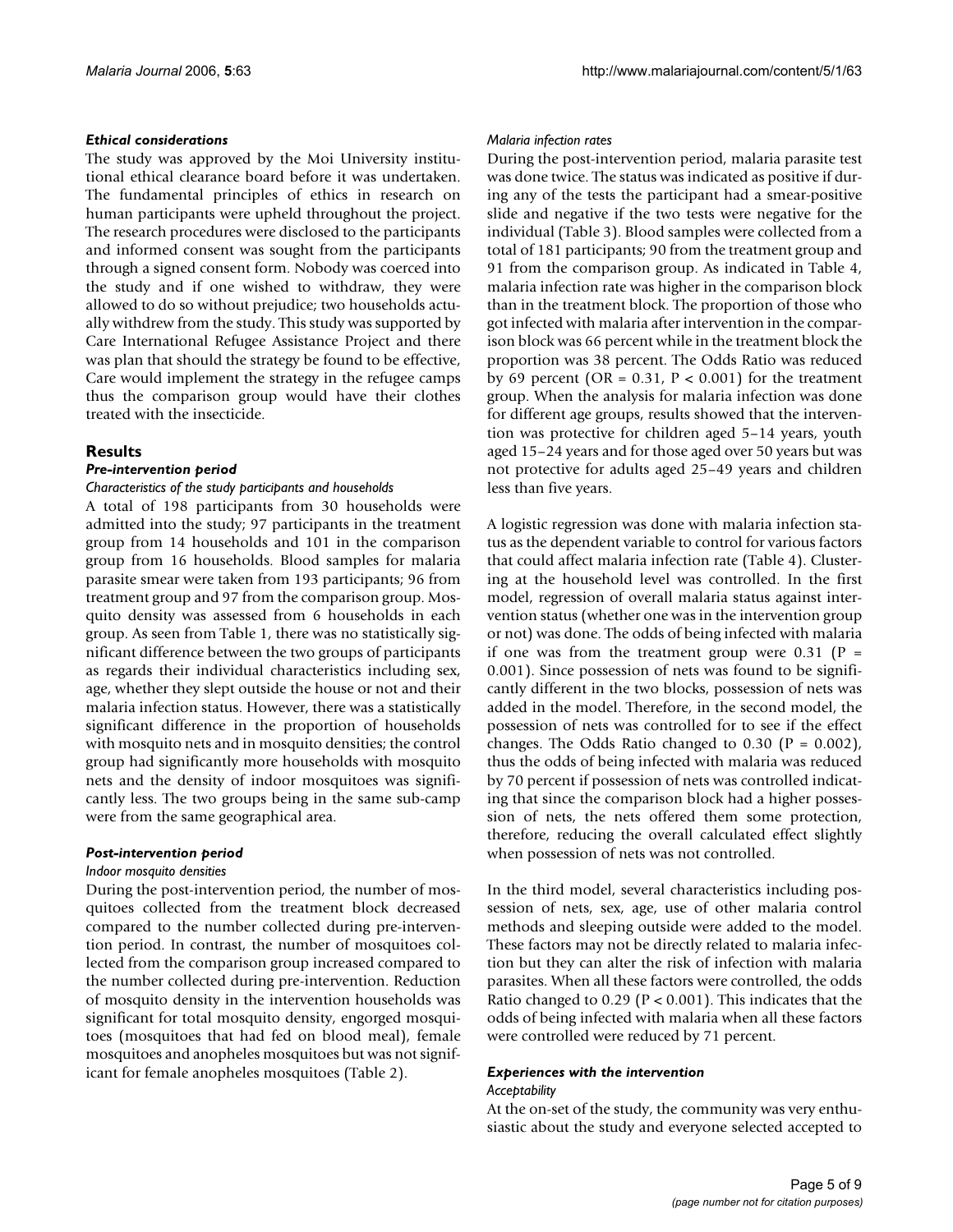## *Ethical considerations*

The study was approved by the Moi University institutional ethical clearance board before it was undertaken. The fundamental principles of ethics in research on human participants were upheld throughout the project. The research procedures were disclosed to the participants and informed consent was sought from the participants through a signed consent form. Nobody was coerced into the study and if one wished to withdraw, they were allowed to do so without prejudice; two households actually withdrew from the study. This study was supported by Care International Refugee Assistance Project and there was plan that should the strategy be found to be effective, Care would implement the strategy in the refugee camps thus the comparison group would have their clothes treated with the insecticide.

## **Results**

#### *Pre-intervention period*

#### *Characteristics of the study participants and households*

A total of 198 participants from 30 households were admitted into the study; 97 participants in the treatment group from 14 households and 101 in the comparison group from 16 households. Blood samples for malaria parasite smear were taken from 193 participants; 96 from treatment group and 97 from the comparison group. Mosquito density was assessed from 6 households in each group. As seen from Table 1, there was no statistically significant difference between the two groups of participants as regards their individual characteristics including sex, age, whether they slept outside the house or not and their malaria infection status. However, there was a statistically significant difference in the proportion of households with mosquito nets and in mosquito densities; the control group had significantly more households with mosquito nets and the density of indoor mosquitoes was significantly less. The two groups being in the same sub-camp were from the same geographical area.

#### *Post-intervention period*

#### *Indoor mosquito densities*

During the post-intervention period, the number of mosquitoes collected from the treatment block decreased compared to the number collected during pre-intervention period. In contrast, the number of mosquitoes collected from the comparison group increased compared to the number collected during pre-intervention. Reduction of mosquito density in the intervention households was significant for total mosquito density, engorged mosquitoes (mosquitoes that had fed on blood meal), female mosquitoes and anopheles mosquitoes but was not significant for female anopheles mosquitoes (Table 2).

#### *Malaria infection rates*

During the post-intervention period, malaria parasite test was done twice. The status was indicated as positive if during any of the tests the participant had a smear-positive slide and negative if the two tests were negative for the individual (Table 3). Blood samples were collected from a total of 181 participants; 90 from the treatment group and 91 from the comparison group. As indicated in Table 4, malaria infection rate was higher in the comparison block than in the treatment block. The proportion of those who got infected with malaria after intervention in the comparison block was 66 percent while in the treatment block the proportion was 38 percent. The Odds Ratio was reduced by 69 percent (OR =  $0.31$ , P <  $0.001$ ) for the treatment group. When the analysis for malaria infection was done for different age groups, results showed that the intervention was protective for children aged 5–14 years, youth aged 15–24 years and for those aged over 50 years but was not protective for adults aged 25–49 years and children less than five years.

A logistic regression was done with malaria infection status as the dependent variable to control for various factors that could affect malaria infection rate (Table 4). Clustering at the household level was controlled. In the first model, regression of overall malaria status against intervention status (whether one was in the intervention group or not) was done. The odds of being infected with malaria if one was from the treatment group were  $0.31$  (P = 0.001). Since possession of nets was found to be significantly different in the two blocks, possession of nets was added in the model. Therefore, in the second model, the possession of nets was controlled for to see if the effect changes. The Odds Ratio changed to  $0.30$  (P =  $0.002$ ), thus the odds of being infected with malaria was reduced by 70 percent if possession of nets was controlled indicating that since the comparison block had a higher possession of nets, the nets offered them some protection, therefore, reducing the overall calculated effect slightly when possession of nets was not controlled.

In the third model, several characteristics including possession of nets, sex, age, use of other malaria control methods and sleeping outside were added to the model. These factors may not be directly related to malaria infection but they can alter the risk of infection with malaria parasites. When all these factors were controlled, the odds Ratio changed to 0.29 ( $P < 0.001$ ). This indicates that the odds of being infected with malaria when all these factors were controlled were reduced by 71 percent.

## *Experiences with the intervention*

#### *Acceptability*

At the on-set of the study, the community was very enthusiastic about the study and everyone selected accepted to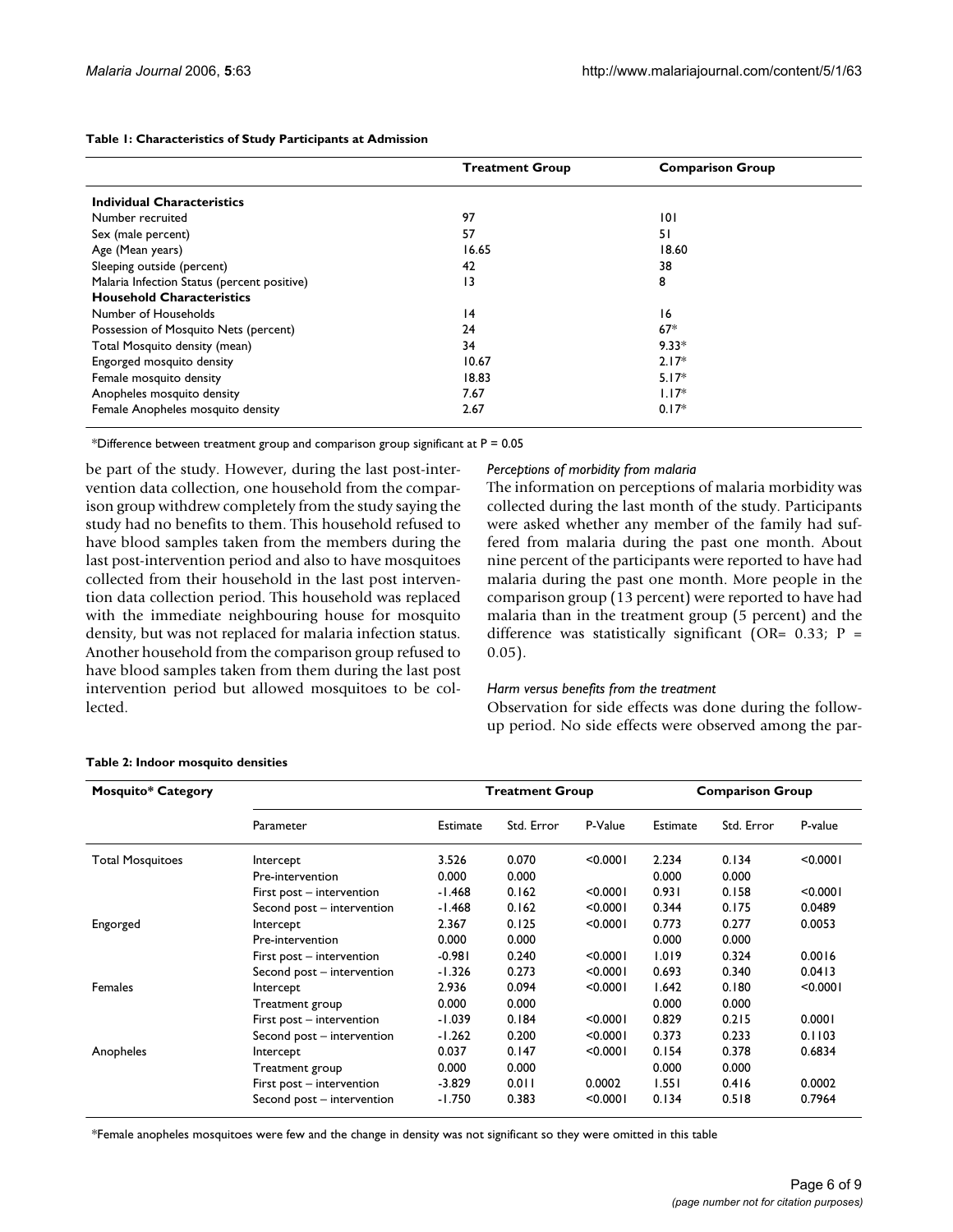|                                             | <b>Treatment Group</b> | <b>Comparison Group</b> |
|---------------------------------------------|------------------------|-------------------------|
| <b>Individual Characteristics</b>           |                        |                         |
| Number recruited                            | 97                     | 0                       |
| Sex (male percent)                          | 57                     | 51                      |
| Age (Mean years)                            | 16.65                  | 18.60                   |
| Sleeping outside (percent)                  | 42                     | 38                      |
| Malaria Infection Status (percent positive) | $\overline{13}$        | 8                       |
| <b>Household Characteristics</b>            |                        |                         |
| Number of Households                        | 4                      | 16                      |
| Possession of Mosquito Nets (percent)       | 24                     | $67*$                   |
| Total Mosquito density (mean)               | 34                     | $9.33*$                 |
| Engorged mosquito density                   | 10.67                  | $2.17*$                 |
| Female mosquito density                     | 18.83                  | $5.17*$                 |
| Anopheles mosquito density                  | 7.67                   | $1.17*$                 |
| Female Anopheles mosquito density           | 2.67                   | $0.17*$                 |

#### **Table 1: Characteristics of Study Participants at Admission**

\*Difference between treatment group and comparison group significant at  $P = 0.05$ 

be part of the study. However, during the last post-intervention data collection, one household from the comparison group withdrew completely from the study saying the study had no benefits to them. This household refused to have blood samples taken from the members during the last post-intervention period and also to have mosquitoes collected from their household in the last post intervention data collection period. This household was replaced with the immediate neighbouring house for mosquito density, but was not replaced for malaria infection status. Another household from the comparison group refused to have blood samples taken from them during the last post intervention period but allowed mosquitoes to be collected.

#### *Perceptions of morbidity from malaria*

The information on perceptions of malaria morbidity was collected during the last month of the study. Participants were asked whether any member of the family had suffered from malaria during the past one month. About nine percent of the participants were reported to have had malaria during the past one month. More people in the comparison group (13 percent) were reported to have had malaria than in the treatment group (5 percent) and the difference was statistically significant (OR=  $0.33$ ; P = 0.05).

#### *Harm versus benefits from the treatment*

Observation for side effects was done during the followup period. No side effects were observed among the par-

| <b>Mosquito* Category</b> |                             | <b>Treatment Group</b> |            |          | <b>Comparison Group</b> |            |          |
|---------------------------|-----------------------------|------------------------|------------|----------|-------------------------|------------|----------|
|                           | Parameter                   | Estimate               | Std. Error | P-Value  | Estimate                | Std. Error | P-value  |
| Total Mosquitoes          | Intercept                   | 3.526                  | 0.070      | < 0.0001 | 2.234                   | 0.134      | < 0.0001 |
|                           | Pre-intervention            | 0.000                  | 0.000      |          | 0.000                   | 0.000      |          |
|                           | First $post$ – intervention | $-1.468$               | 0.162      | < 0.0001 | 0.931                   | 0.158      | < 0.0001 |
|                           | Second post - intervention  | $-1.468$               | 0.162      | < 0.0001 | 0.344                   | 0.175      | 0.0489   |
| Engorged                  | Intercept                   | 2.367                  | 0.125      | < 0.0001 | 0.773                   | 0.277      | 0.0053   |
|                           | Pre-intervention            | 0.000                  | 0.000      |          | 0.000                   | 0.000      |          |
|                           | First $post$ – intervention | $-0.981$               | 0.240      | < 0.0001 | 1.019                   | 0.324      | 0.0016   |
|                           | Second post - intervention  | $-1.326$               | 0.273      | < 0.0001 | 0.693                   | 0.340      | 0.0413   |
| Females                   | Intercept                   | 2.936                  | 0.094      | < 0.0001 | 1.642                   | 0.180      | < 0.0001 |
|                           | Treatment group             | 0.000                  | 0.000      |          | 0.000                   | 0.000      |          |
|                           | First $post$ – intervention | $-1.039$               | 0.184      | < 0.0001 | 0.829                   | 0.215      | 0.0001   |
|                           | Second post - intervention  | $-1.262$               | 0.200      | < 0.0001 | 0.373                   | 0.233      | 0.1103   |
| Anopheles                 | Intercept                   | 0.037                  | 0.147      | < 0.0001 | 0.154                   | 0.378      | 0.6834   |
|                           | Treatment group             | 0.000                  | 0.000      |          | 0.000                   | 0.000      |          |
|                           | First $post$ – intervention | $-3.829$               | 0.011      | 0.0002   | 1.551                   | 0.416      | 0.0002   |
|                           | Second post - intervention  | $-1.750$               | 0.383      | < 0.0001 | 0.134                   | 0.518      | 0.7964   |

#### **Table 2: Indoor mosquito densities**

\*Female anopheles mosquitoes were few and the change in density was not significant so they were omitted in this table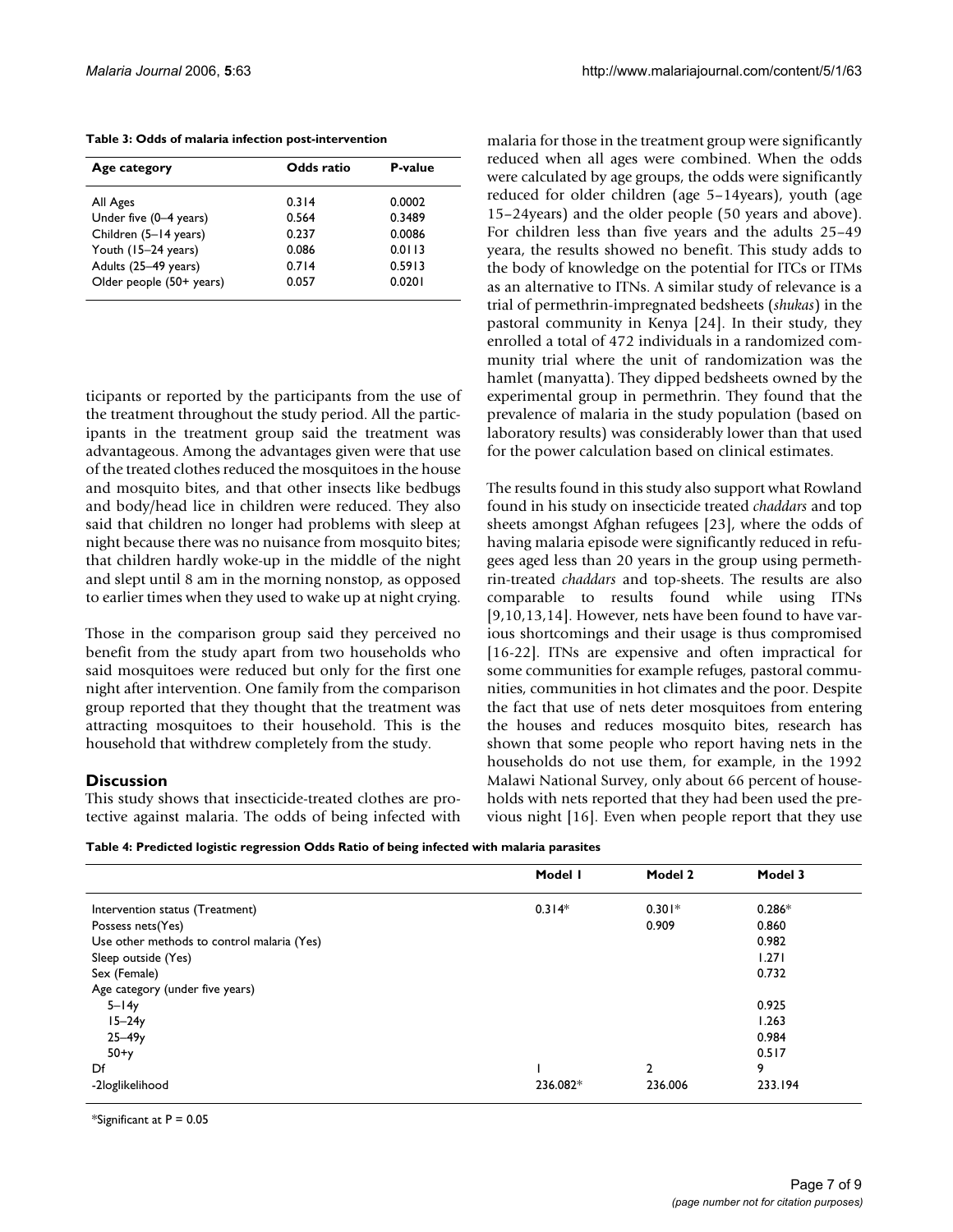| Age category             | Odds ratio | P-value |  |
|--------------------------|------------|---------|--|
| All Ages                 | 0.314      | 0.0002  |  |
| Under five (0-4 years)   | 0.564      | 0.3489  |  |
| Children (5-14 years)    | 0.237      | 0.0086  |  |
| Youth (15-24 years)      | 0.086      | 0.0113  |  |
| Adults (25-49 years)     | 0.714      | 0.5913  |  |
| Older people (50+ years) | 0.057      | 0.0201  |  |

ticipants or reported by the participants from the use of the treatment throughout the study period. All the participants in the treatment group said the treatment was advantageous. Among the advantages given were that use of the treated clothes reduced the mosquitoes in the house and mosquito bites, and that other insects like bedbugs and body/head lice in children were reduced. They also said that children no longer had problems with sleep at night because there was no nuisance from mosquito bites; that children hardly woke-up in the middle of the night and slept until 8 am in the morning nonstop, as opposed to earlier times when they used to wake up at night crying.

Those in the comparison group said they perceived no benefit from the study apart from two households who said mosquitoes were reduced but only for the first one night after intervention. One family from the comparison group reported that they thought that the treatment was attracting mosquitoes to their household. This is the household that withdrew completely from the study.

## **Discussion**

This study shows that insecticide-treated clothes are protective against malaria. The odds of being infected with malaria for those in the treatment group were significantly reduced when all ages were combined. When the odds were calculated by age groups, the odds were significantly reduced for older children (age 5–14years), youth (age 15–24years) and the older people (50 years and above). For children less than five years and the adults 25–49 yeara, the results showed no benefit. This study adds to the body of knowledge on the potential for ITCs or ITMs as an alternative to ITNs. A similar study of relevance is a trial of permethrin-impregnated bedsheets (*shukas*) in the pastoral community in Kenya [24]. In their study, they enrolled a total of 472 individuals in a randomized community trial where the unit of randomization was the hamlet (manyatta). They dipped bedsheets owned by the experimental group in permethrin. They found that the prevalence of malaria in the study population (based on laboratory results) was considerably lower than that used for the power calculation based on clinical estimates.

The results found in this study also support what Rowland found in his study on insecticide treated *chaddars* and top sheets amongst Afghan refugees [23], where the odds of having malaria episode were significantly reduced in refugees aged less than 20 years in the group using permethrin-treated *chaddars* and top-sheets. The results are also comparable to results found while using ITNs [9,10,13,14]. However, nets have been found to have various shortcomings and their usage is thus compromised [16-22]. ITNs are expensive and often impractical for some communities for example refuges, pastoral communities, communities in hot climates and the poor. Despite the fact that use of nets deter mosquitoes from entering the houses and reduces mosquito bites, research has shown that some people who report having nets in the households do not use them, for example, in the 1992 Malawi National Survey, only about 66 percent of households with nets reported that they had been used the previous night [16]. Even when people report that they use

|  | Table 4: Predicted logistic regression Odds Ratio of being infected with malaria parasites |  |
|--|--------------------------------------------------------------------------------------------|--|
|  |                                                                                            |  |

|                                            | Model I  | Model 2        | Model 3  |
|--------------------------------------------|----------|----------------|----------|
| Intervention status (Treatment)            | $0.314*$ | $0.301*$       | $0.286*$ |
| Possess nets(Yes)                          |          | 0.909          | 0.860    |
| Use other methods to control malaria (Yes) |          |                | 0.982    |
| Sleep outside (Yes)                        |          |                | 1.271    |
| Sex (Female)                               |          |                | 0.732    |
| Age category (under five years)            |          |                |          |
| $5 - 14y$                                  |          |                | 0.925    |
| $15-24y$                                   |          |                | 1.263    |
| $25 - 49y$                                 |          |                | 0.984    |
| $50+y$                                     |          |                | 0.517    |
| Df                                         |          | $\overline{2}$ | 9        |
| -2loglikelihood                            | 236.082* | 236.006        | 233.194  |

 $*$ Significant at  $P = 0.05$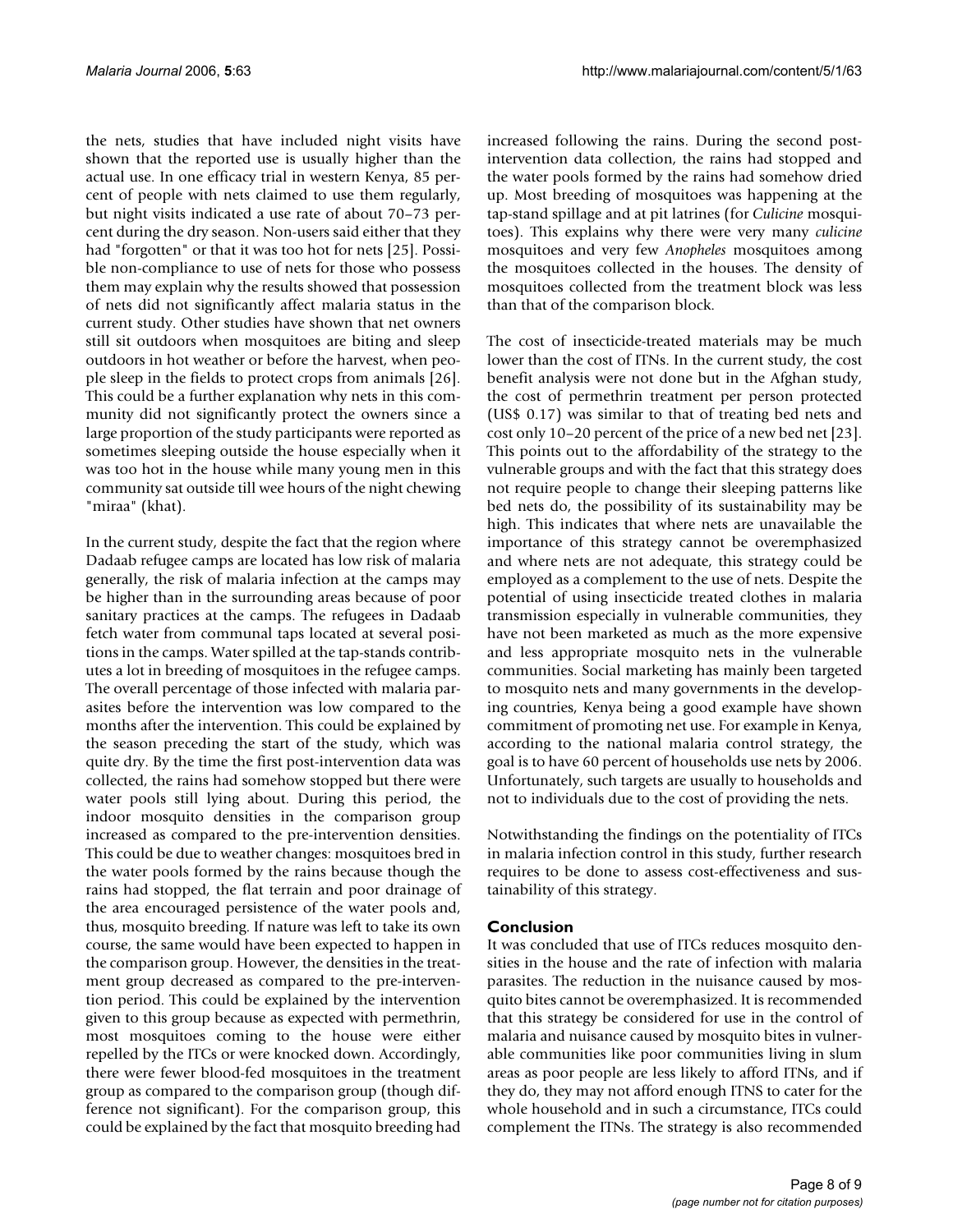the nets, studies that have included night visits have shown that the reported use is usually higher than the actual use. In one efficacy trial in western Kenya, 85 percent of people with nets claimed to use them regularly, but night visits indicated a use rate of about 70–73 percent during the dry season. Non-users said either that they had "forgotten" or that it was too hot for nets [25]. Possible non-compliance to use of nets for those who possess them may explain why the results showed that possession of nets did not significantly affect malaria status in the current study. Other studies have shown that net owners still sit outdoors when mosquitoes are biting and sleep outdoors in hot weather or before the harvest, when people sleep in the fields to protect crops from animals [26]. This could be a further explanation why nets in this community did not significantly protect the owners since a large proportion of the study participants were reported as sometimes sleeping outside the house especially when it was too hot in the house while many young men in this community sat outside till wee hours of the night chewing "miraa" (khat).

In the current study, despite the fact that the region where Dadaab refugee camps are located has low risk of malaria generally, the risk of malaria infection at the camps may be higher than in the surrounding areas because of poor sanitary practices at the camps. The refugees in Dadaab fetch water from communal taps located at several positions in the camps. Water spilled at the tap-stands contributes a lot in breeding of mosquitoes in the refugee camps. The overall percentage of those infected with malaria parasites before the intervention was low compared to the months after the intervention. This could be explained by the season preceding the start of the study, which was quite dry. By the time the first post-intervention data was collected, the rains had somehow stopped but there were water pools still lying about. During this period, the indoor mosquito densities in the comparison group increased as compared to the pre-intervention densities. This could be due to weather changes: mosquitoes bred in the water pools formed by the rains because though the rains had stopped, the flat terrain and poor drainage of the area encouraged persistence of the water pools and, thus, mosquito breeding. If nature was left to take its own course, the same would have been expected to happen in the comparison group. However, the densities in the treatment group decreased as compared to the pre-intervention period. This could be explained by the intervention given to this group because as expected with permethrin, most mosquitoes coming to the house were either repelled by the ITCs or were knocked down. Accordingly, there were fewer blood-fed mosquitoes in the treatment group as compared to the comparison group (though difference not significant). For the comparison group, this could be explained by the fact that mosquito breeding had

increased following the rains. During the second postintervention data collection, the rains had stopped and the water pools formed by the rains had somehow dried up. Most breeding of mosquitoes was happening at the tap-stand spillage and at pit latrines (for *Culicine* mosquitoes). This explains why there were very many *culicine* mosquitoes and very few *Anopheles* mosquitoes among the mosquitoes collected in the houses. The density of mosquitoes collected from the treatment block was less than that of the comparison block.

The cost of insecticide-treated materials may be much lower than the cost of ITNs. In the current study, the cost benefit analysis were not done but in the Afghan study, the cost of permethrin treatment per person protected (US\$ 0.17) was similar to that of treating bed nets and cost only 10–20 percent of the price of a new bed net [23]. This points out to the affordability of the strategy to the vulnerable groups and with the fact that this strategy does not require people to change their sleeping patterns like bed nets do, the possibility of its sustainability may be high. This indicates that where nets are unavailable the importance of this strategy cannot be overemphasized and where nets are not adequate, this strategy could be employed as a complement to the use of nets. Despite the potential of using insecticide treated clothes in malaria transmission especially in vulnerable communities, they have not been marketed as much as the more expensive and less appropriate mosquito nets in the vulnerable communities. Social marketing has mainly been targeted to mosquito nets and many governments in the developing countries, Kenya being a good example have shown commitment of promoting net use. For example in Kenya, according to the national malaria control strategy, the goal is to have 60 percent of households use nets by 2006. Unfortunately, such targets are usually to households and not to individuals due to the cost of providing the nets.

Notwithstanding the findings on the potentiality of ITCs in malaria infection control in this study, further research requires to be done to assess cost-effectiveness and sustainability of this strategy.

## **Conclusion**

It was concluded that use of ITCs reduces mosquito densities in the house and the rate of infection with malaria parasites. The reduction in the nuisance caused by mosquito bites cannot be overemphasized. It is recommended that this strategy be considered for use in the control of malaria and nuisance caused by mosquito bites in vulnerable communities like poor communities living in slum areas as poor people are less likely to afford ITNs, and if they do, they may not afford enough ITNS to cater for the whole household and in such a circumstance, ITCs could complement the ITNs. The strategy is also recommended